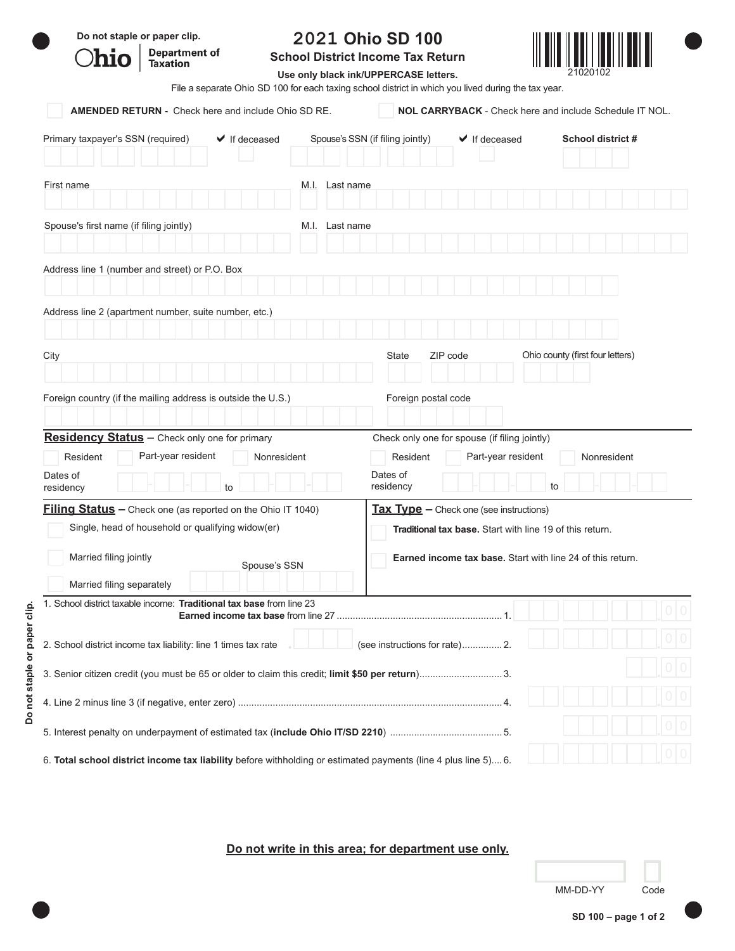| Do not staple or paper clip.<br>Department of<br>Taxation                                                                                                                      | <b>School District Income Tax Return</b><br>File a separate Ohio SD 100 for each taxing school district in which you lived during the tax year. | 2021 Ohio SD 100<br>Use only black ink/UPPERCASE letters. |                                                                                                                                                                                                      |                                                                |
|--------------------------------------------------------------------------------------------------------------------------------------------------------------------------------|-------------------------------------------------------------------------------------------------------------------------------------------------|-----------------------------------------------------------|------------------------------------------------------------------------------------------------------------------------------------------------------------------------------------------------------|----------------------------------------------------------------|
| <b>AMENDED RETURN -</b> Check here and include Ohio SD RE.                                                                                                                     |                                                                                                                                                 |                                                           |                                                                                                                                                                                                      | <b>NOL CARRYBACK - Check here and include Schedule IT NOL.</b> |
| Primary taxpayer's SSN (required)<br>$\blacktriangleright$ If deceased                                                                                                         |                                                                                                                                                 | Spouse's SSN (if filing jointly)                          | $\blacktriangleright$ If deceased                                                                                                                                                                    | School district #                                              |
| First name                                                                                                                                                                     | M.I. Last name                                                                                                                                  |                                                           |                                                                                                                                                                                                      |                                                                |
| Spouse's first name (if filing jointly)                                                                                                                                        | M.I. Last name                                                                                                                                  |                                                           |                                                                                                                                                                                                      |                                                                |
| Address line 1 (number and street) or P.O. Box                                                                                                                                 |                                                                                                                                                 |                                                           |                                                                                                                                                                                                      |                                                                |
| Address line 2 (apartment number, suite number, etc.)                                                                                                                          |                                                                                                                                                 |                                                           |                                                                                                                                                                                                      |                                                                |
| City                                                                                                                                                                           |                                                                                                                                                 | State                                                     | ZIP code                                                                                                                                                                                             | Ohio county (first four letters)                               |
| Foreign country (if the mailing address is outside the U.S.)<br>Residency Status - Check only one for primary                                                                  |                                                                                                                                                 | Foreign postal code                                       | Check only one for spouse (if filing jointly)                                                                                                                                                        |                                                                |
| Resident<br>Part-year resident<br>Dates of<br>residency<br>to                                                                                                                  | Nonresident                                                                                                                                     | Resident<br>Dates of<br>residency                         | Part-year resident                                                                                                                                                                                   | Nonresident<br>to                                              |
| <b>Filing Status</b> - Check one (as reported on the Ohio IT 1040)<br>Single, head of household or qualifying widow(er)<br>Married filing jointly<br>Married filing separately | Spouse's SSN                                                                                                                                    |                                                           | $\frac{7ax \, \text{Tvpe}}{x}$ – Check one (see instructions)<br><b>Traditional tax base.</b> Start with line 19 of this return.<br><b>Earned income tax base.</b> Start with line 24 of this return |                                                                |
| 1. School district taxable income: Traditional tax base from line 23                                                                                                           |                                                                                                                                                 |                                                           |                                                                                                                                                                                                      |                                                                |
| or paper clip.<br>2. School district income tax liability: line 1 times tax rate                                                                                               |                                                                                                                                                 | (see instructions for rate) 2.                            |                                                                                                                                                                                                      |                                                                |
| 3. Senior citizen credit (you must be 65 or older to claim this credit; limit \$50 per return)3.                                                                               |                                                                                                                                                 |                                                           |                                                                                                                                                                                                      |                                                                |
| Do not staple                                                                                                                                                                  |                                                                                                                                                 |                                                           |                                                                                                                                                                                                      |                                                                |
|                                                                                                                                                                                |                                                                                                                                                 |                                                           |                                                                                                                                                                                                      |                                                                |
| 6. Total school district income tax liability before withholding or estimated payments (line 4 plus line 5) 6.                                                                 |                                                                                                                                                 |                                                           |                                                                                                                                                                                                      |                                                                |

**Do not write in this area; for department use only.**

| MM-DD-YY | Code |
|----------|------|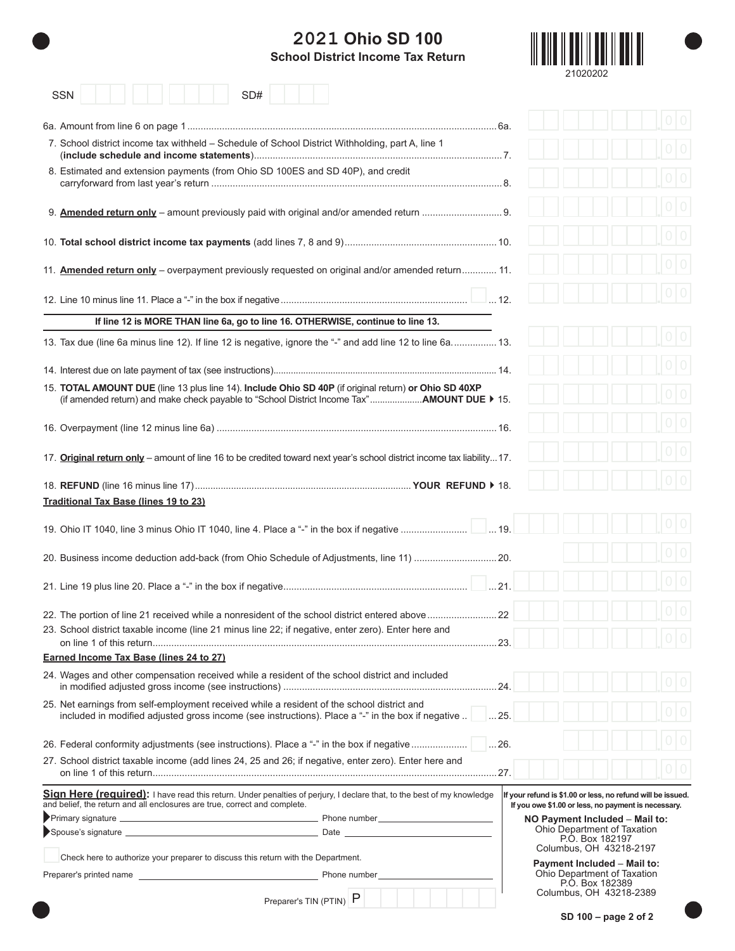## **2021 Ohio SD 100**





| <b>SSN</b>                                                                                          | SD#                                                                                                                     |                                                                                                                    |
|-----------------------------------------------------------------------------------------------------|-------------------------------------------------------------------------------------------------------------------------|--------------------------------------------------------------------------------------------------------------------|
|                                                                                                     |                                                                                                                         |                                                                                                                    |
| 7. School district income tax withheld – Schedule of School District Withholding, part A, line 1    |                                                                                                                         |                                                                                                                    |
| 8. Estimated and extension payments (from Ohio SD 100ES and SD 40P), and credit                     |                                                                                                                         |                                                                                                                    |
|                                                                                                     |                                                                                                                         |                                                                                                                    |
|                                                                                                     |                                                                                                                         |                                                                                                                    |
|                                                                                                     | 11. <b>Amended return only</b> – overpayment previously requested on original and/or amended return 11.                 |                                                                                                                    |
|                                                                                                     |                                                                                                                         |                                                                                                                    |
|                                                                                                     | If line 12 is MORE THAN line 6a, go to line 16. OTHERWISE, continue to line 13.                                         |                                                                                                                    |
|                                                                                                     | 13. Tax due (line 6a minus line 12). If line 12 is negative, ignore the "-" and add line 12 to line 6a 13.              |                                                                                                                    |
|                                                                                                     |                                                                                                                         |                                                                                                                    |
|                                                                                                     | 15. TOTAL AMOUNT DUE (line 13 plus line 14). Include Ohio SD 40P (if original return) or Ohio SD 40XP                   |                                                                                                                    |
|                                                                                                     |                                                                                                                         |                                                                                                                    |
|                                                                                                     | 17. Original return only - amount of line 16 to be credited toward next year's school district income tax liability 17. |                                                                                                                    |
| <b>Traditional Tax Base (lines 19 to 23)</b>                                                        |                                                                                                                         |                                                                                                                    |
|                                                                                                     |                                                                                                                         |                                                                                                                    |
|                                                                                                     |                                                                                                                         |                                                                                                                    |
|                                                                                                     | 20. Business income deduction add-back (from Ohio Schedule of Adjustments, line 11)  20.                                |                                                                                                                    |
|                                                                                                     |                                                                                                                         |                                                                                                                    |
| 23. School district taxable income (line 21 minus line 22; if negative, enter zero). Enter here and |                                                                                                                         | .22                                                                                                                |
|                                                                                                     |                                                                                                                         |                                                                                                                    |
| Earned Income Tax Base (lines 24 to 27)                                                             |                                                                                                                         |                                                                                                                    |
| 24. Wages and other compensation received while a resident of the school district and included      |                                                                                                                         |                                                                                                                    |
| 25. Net earnings from self-employment received while a resident of the school district and          | included in modified adjusted gross income (see instructions). Place a "-" in the box if negative                       | $\ldots$ 25.                                                                                                       |
|                                                                                                     | 26. Federal conformity adjustments (see instructions). Place a "-" in the box if negative     26.                       |                                                                                                                    |
|                                                                                                     | 27. School district taxable income (add lines 24, 25 and 26; if negative, enter zero). Enter here and                   |                                                                                                                    |
| and belief, the return and all enclosures are true, correct and complete.                           | Sign Here (required): I have read this return. Under penalties of perjury, I declare that, to the best of my knowledge  | If your refund is \$1.00 or less, no refund will be issued.<br>If you owe \$1.00 or less, no payment is necessary. |
|                                                                                                     |                                                                                                                         | NO Payment Included - Mail to:<br>Ohio Department of Taxation                                                      |
|                                                                                                     |                                                                                                                         | P.O. Box 182197<br>Columbus, OH 43218-2197                                                                         |
| Check here to authorize your preparer to discuss this return with the Department.                   |                                                                                                                         | Payment Included - Mail to:                                                                                        |
|                                                                                                     |                                                                                                                         | Ohio Department of Taxation<br>P.O. Box 182389                                                                     |
|                                                                                                     | Preparer's TIN (PTIN) P                                                                                                 | Columbus, OH 43218-2389                                                                                            |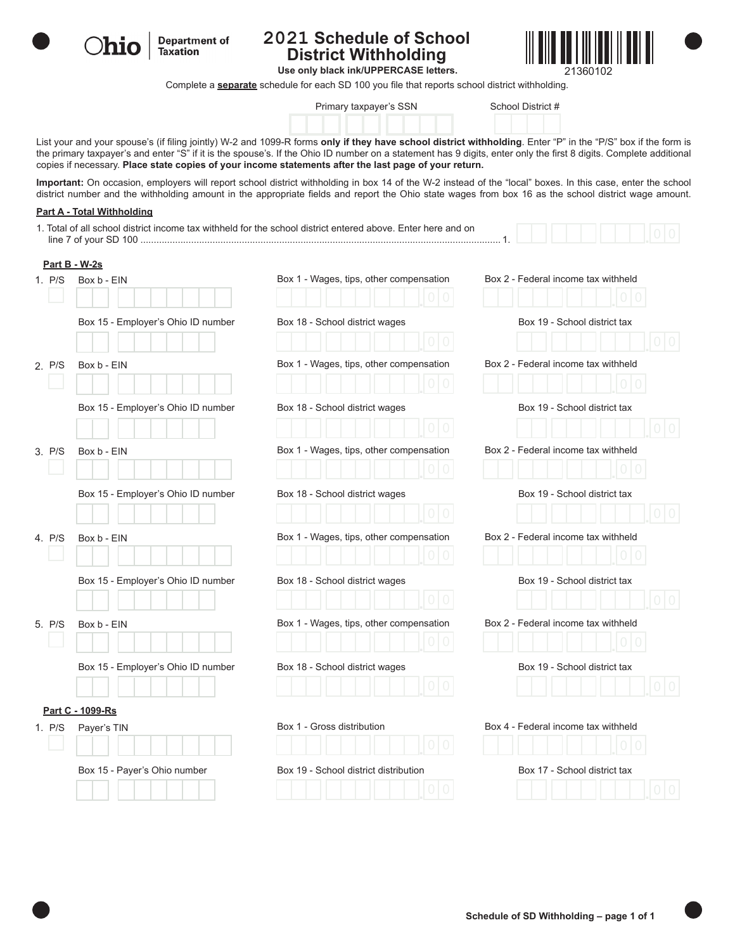

**Department of Ohio Taxation** 

#### **2021 Schedule of School District Withholding**



**Use only black ink/UPPERCASE letters.**

Complete a **separate** schedule for each SD 100 you file that reports school district withholding.

|  | Primary taxpayer's SSN |  |
|--|------------------------|--|
|--|------------------------|--|

School District #

List your and your spouse's (if filing jointly) W-2 and 1099-R forms **only if they have school district withholding**. Enter "P" in the "P/S" box if the form is the primary taxpayer's and enter "S" if it is the spouse's. If the Ohio ID number on a statement has 9 digits, enter only the first 8 digits. Complete additional copies if necessary. **Place state copies of your income statements after the last page of your return.**

**Important:** On occasion, employers will report school district withholding in box 14 of the W-2 instead of the "local" boxes. In this case, enter the school district number and the withholding amount in the appropriate fields and report the Ohio state wages from box 16 as the school district wage amount.

#### **Part A - Total Withholding**

|        |                                    | 1. Total of all school district income tax withheld for the school district entered above. Enter here and on |                                     |
|--------|------------------------------------|--------------------------------------------------------------------------------------------------------------|-------------------------------------|
|        | <b>Part B - W-2s</b>               |                                                                                                              |                                     |
| 1. P/S | Box b - EIN                        | Box 1 - Wages, tips, other compensation                                                                      | Box 2 - Federal income tax withheld |
|        |                                    |                                                                                                              |                                     |
|        | Box 15 - Employer's Ohio ID number | Box 18 - School district wages                                                                               | Box 19 - School district tax        |
|        |                                    |                                                                                                              |                                     |
| 2. P/S | Box b - EIN                        | Box 1 - Wages, tips, other compensation                                                                      | Box 2 - Federal income tax withheld |
|        |                                    |                                                                                                              |                                     |
|        | Box 15 - Employer's Ohio ID number | Box 18 - School district wages                                                                               | Box 19 - School district tax        |
|        |                                    |                                                                                                              |                                     |
| 3. P/S | Box b - EIN                        | Box 1 - Wages, tips, other compensation                                                                      | Box 2 - Federal income tax withheld |
|        |                                    |                                                                                                              |                                     |
|        | Box 15 - Employer's Ohio ID number | Box 18 - School district wages                                                                               | Box 19 - School district tax        |
|        |                                    |                                                                                                              |                                     |
| 4. P/S | Box b - EIN                        | Box 1 - Wages, tips, other compensation                                                                      | Box 2 - Federal income tax withheld |
|        |                                    |                                                                                                              |                                     |
|        | Box 15 - Employer's Ohio ID number | Box 18 - School district wages                                                                               | Box 19 - School district tax        |
|        |                                    |                                                                                                              |                                     |
| 5. P/S | Box b - EIN                        | Box 1 - Wages, tips, other compensation                                                                      | Box 2 - Federal income tax withheld |
|        |                                    |                                                                                                              |                                     |
|        | Box 15 - Employer's Ohio ID number | Box 18 - School district wages                                                                               | Box 19 - School district tax        |
|        |                                    |                                                                                                              |                                     |
|        | Part C - 1099-Rs                   |                                                                                                              |                                     |
| 1. P/S | Payer's TIN                        | Box 1 - Gross distribution                                                                                   | Box 4 - Federal income tax withheld |
|        |                                    |                                                                                                              |                                     |
|        | Box 15 - Payer's Ohio number       | Box 19 - School district distribution                                                                        | Box 17 - School district tax        |
|        |                                    |                                                                                                              |                                     |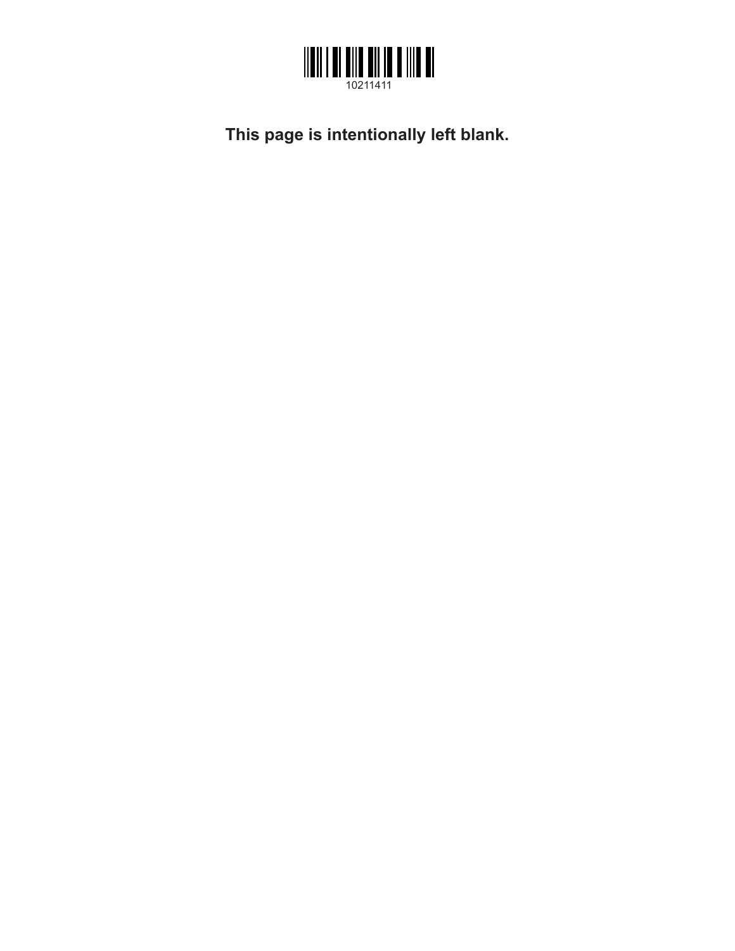

**This page is intentionally left blank.**